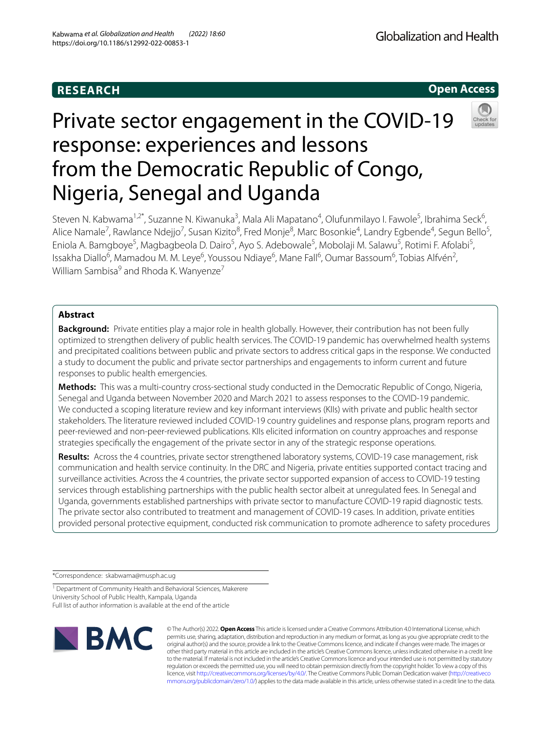# **RESEARCH**

Globalization and Health



# Private sector engagement in the COVID-19 response: experiences and lessons from the Democratic Republic of Congo, Nigeria, Senegal and Uganda



Steven N. Kabwama<sup>1,2\*</sup>, Suzanne N. Kiwanuka<sup>3</sup>, Mala Ali Mapatano<sup>4</sup>, Olufunmilayo I. Fawole<sup>5</sup>, Ibrahima Seck<sup>6</sup>, Alice Namale<sup>7</sup>, Rawlance Ndejjo<sup>7</sup>, Susan Kizito<sup>8</sup>, Fred Monje<sup>8</sup>, Marc Bosonkie<sup>4</sup>, Landry Egbende<sup>4</sup>, Segun Bello<sup>5</sup>, Eniola A. Bamgboye<sup>5</sup>, Magbagbeola D. Dairo<sup>5</sup>, Ayo S. Adebowale<sup>5</sup>, Mobolaji M. Salawu<sup>5</sup>, Rotimi F. Afolabi<sup>5</sup>, Issakha Diallo<sup>6</sup>, Mamadou M. M. Leye<sup>6</sup>, Youssou Ndiaye<sup>6</sup>, Mane Fall<sup>6</sup>, Oumar Bassoum<sup>6</sup>, Tobias Alfvén<sup>2</sup>, William Sambisa<sup>9</sup> and Rhoda K. Wanyenze<sup>7</sup>

# **Abstract**

**Background:** Private entities play a major role in health globally. However, their contribution has not been fully optimized to strengthen delivery of public health services. The COVID-19 pandemic has overwhelmed health systems and precipitated coalitions between public and private sectors to address critical gaps in the response. We conducted a study to document the public and private sector partnerships and engagements to inform current and future responses to public health emergencies.

**Methods:** This was a multi-country cross-sectional study conducted in the Democratic Republic of Congo, Nigeria, Senegal and Uganda between November 2020 and March 2021 to assess responses to the COVID-19 pandemic. We conducted a scoping literature review and key informant interviews (KIIs) with private and public health sector stakeholders. The literature reviewed included COVID-19 country guidelines and response plans, program reports and peer-reviewed and non-peer-reviewed publications. KIIs elicited information on country approaches and response strategies specifcally the engagement of the private sector in any of the strategic response operations.

**Results:** Across the 4 countries, private sector strengthened laboratory systems, COVID-19 case management, risk communication and health service continuity. In the DRC and Nigeria, private entities supported contact tracing and surveillance activities. Across the 4 countries, the private sector supported expansion of access to COVID-19 testing services through establishing partnerships with the public health sector albeit at unregulated fees. In Senegal and Uganda, governments established partnerships with private sector to manufacture COVID-19 rapid diagnostic tests. The private sector also contributed to treatment and management of COVID-19 cases. In addition, private entities provided personal protective equipment, conducted risk communication to promote adherence to safety procedures

\*Correspondence: skabwama@musph.ac.ug

<sup>1</sup> Department of Community Health and Behavioral Sciences, Makerere University School of Public Health, Kampala, Uganda

Full list of author information is available at the end of the article



© The Author(s) 2022. **Open Access** This article is licensed under a Creative Commons Attribution 4.0 International License, which permits use, sharing, adaptation, distribution and reproduction in any medium or format, as long as you give appropriate credit to the original author(s) and the source, provide a link to the Creative Commons licence, and indicate if changes were made. The images or other third party material in this article are included in the article's Creative Commons licence, unless indicated otherwise in a credit line to the material. If material is not included in the article's Creative Commons licence and your intended use is not permitted by statutory regulation or exceeds the permitted use, you will need to obtain permission directly from the copyright holder. To view a copy of this licence, visit [http://creativecommons.org/licenses/by/4.0/.](http://creativecommons.org/licenses/by/4.0/) The Creative Commons Public Domain Dedication waiver ([http://creativeco](http://creativecommons.org/publicdomain/zero/1.0/) [mmons.org/publicdomain/zero/1.0/](http://creativecommons.org/publicdomain/zero/1.0/)) applies to the data made available in this article, unless otherwise stated in a credit line to the data.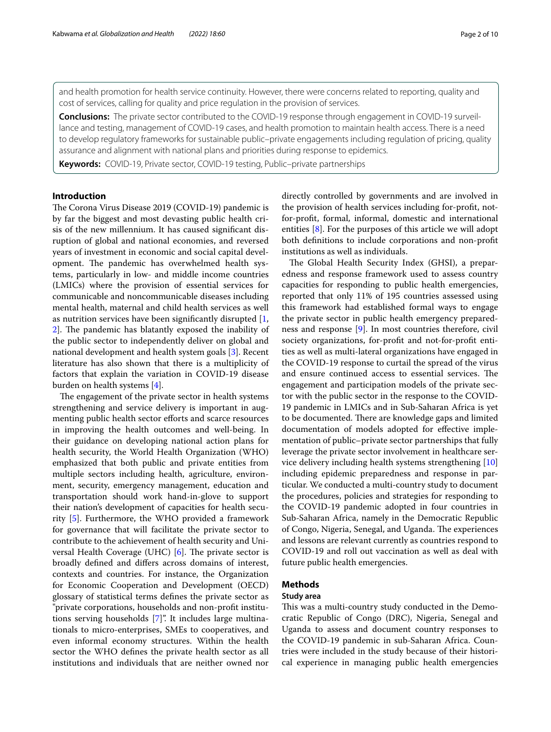and health promotion for health service continuity. However, there were concerns related to reporting, quality and cost of services, calling for quality and price regulation in the provision of services.

**Conclusions:** The private sector contributed to the COVID-19 response through engagement in COVID-19 surveillance and testing, management of COVID-19 cases, and health promotion to maintain health access. There is a need to develop regulatory frameworks for sustainable public–private engagements including regulation of pricing, quality assurance and alignment with national plans and priorities during response to epidemics.

**Keywords:** COVID-19, Private sector, COVID-19 testing, Public–private partnerships

# **Introduction**

The Corona Virus Disease 2019 (COVID-19) pandemic is by far the biggest and most devasting public health crisis of the new millennium. It has caused signifcant disruption of global and national economies, and reversed years of investment in economic and social capital development. The pandemic has overwhelmed health systems, particularly in low- and middle income countries (LMICs) where the provision of essential services for communicable and noncommunicable diseases including mental health, maternal and child health services as well as nutrition services have been signifcantly disrupted [\[1](#page-8-0), [2\]](#page-9-0). The pandemic has blatantly exposed the inability of the public sector to independently deliver on global and national development and health system goals [[3\]](#page-9-1). Recent literature has also shown that there is a multiplicity of factors that explain the variation in COVID-19 disease burden on health systems [[4](#page-9-2)].

The engagement of the private sector in health systems strengthening and service delivery is important in augmenting public health sector efforts and scarce resources in improving the health outcomes and well-being. In their guidance on developing national action plans for health security, the World Health Organization (WHO) emphasized that both public and private entities from multiple sectors including health, agriculture, environment, security, emergency management, education and transportation should work hand-in-glove to support their nation's development of capacities for health security [[5\]](#page-9-3). Furthermore, the WHO provided a framework for governance that will facilitate the private sector to contribute to the achievement of health security and Universal Health Coverage (UHC)  $[6]$  $[6]$ . The private sector is broadly defned and difers across domains of interest, contexts and countries. For instance, the Organization for Economic Cooperation and Development (OECD) glossary of statistical terms defnes the private sector as "private corporations, households and non-proft institutions serving households [[7\]](#page-9-5)". It includes large multinationals to micro-enterprises, SMEs to cooperatives, and even informal economy structures. Within the health sector the WHO defnes the private health sector as all institutions and individuals that are neither owned nor directly controlled by governments and are involved in the provision of health services including for-proft, notfor-proft, formal, informal, domestic and international entities [[8\]](#page-9-6). For the purposes of this article we will adopt both defnitions to include corporations and non-proft institutions as well as individuals.

The Global Health Security Index (GHSI), a preparedness and response framework used to assess country capacities for responding to public health emergencies, reported that only 11% of 195 countries assessed using this framework had established formal ways to engage the private sector in public health emergency preparedness and response [\[9](#page-9-7)]. In most countries therefore, civil society organizations, for-proft and not-for-proft entities as well as multi-lateral organizations have engaged in the COVID-19 response to curtail the spread of the virus and ensure continued access to essential services. The engagement and participation models of the private sector with the public sector in the response to the COVID-19 pandemic in LMICs and in Sub-Saharan Africa is yet to be documented. There are knowledge gaps and limited documentation of models adopted for efective implementation of public–private sector partnerships that fully leverage the private sector involvement in healthcare service delivery including health systems strengthening [[10](#page-9-8)] including epidemic preparedness and response in particular. We conducted a multi-country study to document the procedures, policies and strategies for responding to the COVID-19 pandemic adopted in four countries in Sub-Saharan Africa, namely in the Democratic Republic of Congo, Nigeria, Senegal, and Uganda. The experiences and lessons are relevant currently as countries respond to COVID-19 and roll out vaccination as well as deal with future public health emergencies.

## **Methods**

## **Study area**

This was a multi-country study conducted in the Democratic Republic of Congo (DRC), Nigeria, Senegal and Uganda to assess and document country responses to the COVID-19 pandemic in sub-Saharan Africa. Countries were included in the study because of their historical experience in managing public health emergencies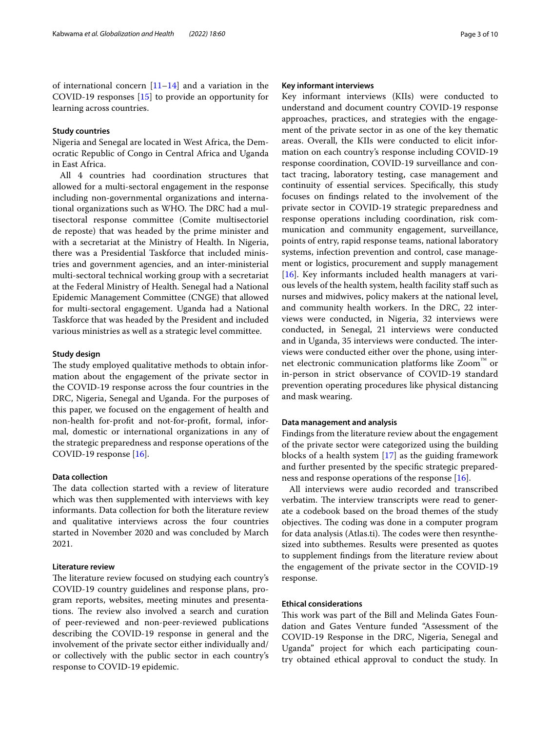of international concern  $[11-14]$  $[11-14]$  and a variation in the COVID-19 responses [[15\]](#page-9-11) to provide an opportunity for learning across countries.

#### **Study countries**

Nigeria and Senegal are located in West Africa, the Democratic Republic of Congo in Central Africa and Uganda in East Africa.

All 4 countries had coordination structures that allowed for a multi-sectoral engagement in the response including non-governmental organizations and international organizations such as WHO. The DRC had a multisectoral response committee (Comite multisectoriel de reposte) that was headed by the prime minister and with a secretariat at the Ministry of Health. In Nigeria, there was a Presidential Taskforce that included ministries and government agencies, and an inter-ministerial multi-sectoral technical working group with a secretariat at the Federal Ministry of Health. Senegal had a National Epidemic Management Committee (CNGE) that allowed for multi-sectoral engagement. Uganda had a National Taskforce that was headed by the President and included various ministries as well as a strategic level committee.

#### **Study design**

The study employed qualitative methods to obtain information about the engagement of the private sector in the COVID-19 response across the four countries in the DRC, Nigeria, Senegal and Uganda. For the purposes of this paper, we focused on the engagement of health and non-health for-proft and not-for-proft, formal, informal, domestic or international organizations in any of the strategic preparedness and response operations of the COVID-19 response [\[16](#page-9-12)].

#### **Data collection**

The data collection started with a review of literature which was then supplemented with interviews with key informants. Data collection for both the literature review and qualitative interviews across the four countries started in November 2020 and was concluded by March 2021.

## **Literature review**

The literature review focused on studying each country's COVID-19 country guidelines and response plans, program reports, websites, meeting minutes and presentations. The review also involved a search and curation of peer-reviewed and non-peer-reviewed publications describing the COVID-19 response in general and the involvement of the private sector either individually and/ or collectively with the public sector in each country's response to COVID-19 epidemic.

#### **Key informant interviews**

Key informant interviews (KIIs) were conducted to understand and document country COVID-19 response approaches, practices, and strategies with the engagement of the private sector in as one of the key thematic areas. Overall, the KIIs were conducted to elicit information on each country's response including COVID-19 response coordination, COVID-19 surveillance and contact tracing, laboratory testing, case management and continuity of essential services. Specifcally, this study focuses on fndings related to the involvement of the private sector in COVID-19 strategic preparedness and response operations including coordination, risk communication and community engagement, surveillance, points of entry, rapid response teams, national laboratory systems, infection prevention and control, case management or logistics, procurement and supply management [[16\]](#page-9-12). Key informants included health managers at various levels of the health system, health facility staff such as nurses and midwives, policy makers at the national level, and community health workers. In the DRC, 22 interviews were conducted, in Nigeria, 32 interviews were conducted, in Senegal, 21 interviews were conducted and in Uganda, 35 interviews were conducted. The interviews were conducted either over the phone, using internet electronic communication platforms like Zoom™ or in-person in strict observance of COVID-19 standard prevention operating procedures like physical distancing and mask wearing.

#### **Data management and analysis**

Findings from the literature review about the engagement of the private sector were categorized using the building blocks of a health system [[17\]](#page-9-13) as the guiding framework and further presented by the specifc strategic preparedness and response operations of the response [\[16\]](#page-9-12).

All interviews were audio recorded and transcribed verbatim. The interview transcripts were read to generate a codebook based on the broad themes of the study objectives. The coding was done in a computer program for data analysis (Atlas.ti). The codes were then resynthesized into subthemes. Results were presented as quotes to supplement fndings from the literature review about the engagement of the private sector in the COVID-19 response.

#### **Ethical considerations**

This work was part of the Bill and Melinda Gates Foundation and Gates Venture funded "Assessment of the COVID-19 Response in the DRC, Nigeria, Senegal and Uganda" project for which each participating country obtained ethical approval to conduct the study. In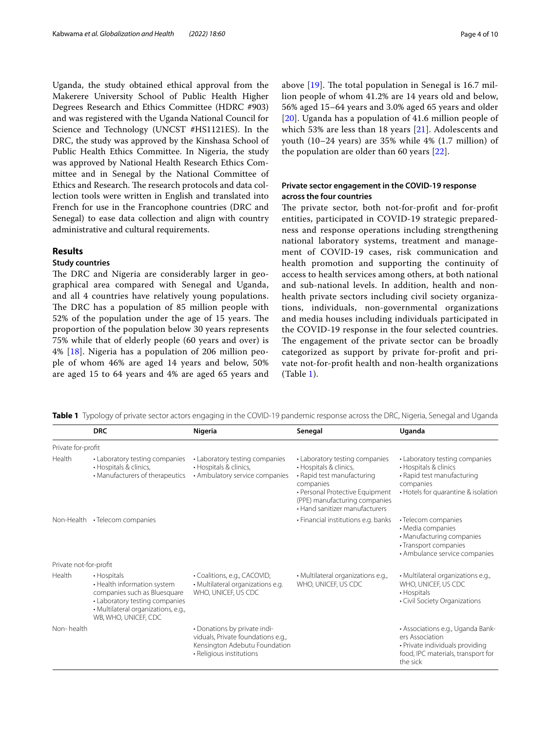Uganda, the study obtained ethical approval from the Makerere University School of Public Health Higher Degrees Research and Ethics Committee (HDRC #903) and was registered with the Uganda National Council for Science and Technology (UNCST #HS1121ES). In the DRC, the study was approved by the Kinshasa School of Public Health Ethics Committee. In Nigeria, the study was approved by National Health Research Ethics Committee and in Senegal by the National Committee of Ethics and Research. The research protocols and data collection tools were written in English and translated into French for use in the Francophone countries (DRC and Senegal) to ease data collection and align with country administrative and cultural requirements.

# **Results**

# **Study countries**

The DRC and Nigeria are considerably larger in geographical area compared with Senegal and Uganda, and all 4 countries have relatively young populations. The DRC has a population of 85 million people with 52% of the population under the age of 15 years. The proportion of the population below 30 years represents 75% while that of elderly people (60 years and over) is 4% [[18\]](#page-9-14). Nigeria has a population of 206 million people of whom 46% are aged 14 years and below, 50% are aged 15 to 64 years and 4% are aged 65 years and above  $[19]$  $[19]$ . The total population in Senegal is 16.7 million people of whom 41.2% are 14 years old and below, 56% aged 15–64 years and 3.0% aged 65 years and older [[20](#page-9-16)]. Uganda has a population of 41.6 million people of which 53% are less than 18 years [\[21](#page-9-17)]. Adolescents and youth (10–24 years) are 35% while 4% (1.7 million) of the population are older than 60 years [\[22](#page-9-18)].

# **Private sector engagement in the COVID‑19 response across the four countries**

The private sector, both not-for-profit and for-profit entities, participated in COVID-19 strategic preparedness and response operations including strengthening national laboratory systems, treatment and management of COVID-19 cases, risk communication and health promotion and supporting the continuity of access to health services among others, at both national and sub-national levels. In addition, health and nonhealth private sectors including civil society organizations, individuals, non-governmental organizations and media houses including individuals participated in the COVID-19 response in the four selected countries. The engagement of the private sector can be broadly categorized as support by private for-proft and private not-for-proft health and non-health organizations (Table [1\)](#page-3-0).

<span id="page-3-0"></span>

|  | Table 1 Typology of private sector actors engaging in the COVID-19 pandemic response across the DRC, Nigeria, Senegal and Uganda |  |  |
|--|----------------------------------------------------------------------------------------------------------------------------------|--|--|
|  |                                                                                                                                  |  |  |

|                        | <b>DRC</b>                                                                                                                                                                  | Nigeria                                                                                                                         | Senegal                                                                                                                                                                                                   | Uganda                                                                                                                                    |
|------------------------|-----------------------------------------------------------------------------------------------------------------------------------------------------------------------------|---------------------------------------------------------------------------------------------------------------------------------|-----------------------------------------------------------------------------------------------------------------------------------------------------------------------------------------------------------|-------------------------------------------------------------------------------------------------------------------------------------------|
| Private for-profit     |                                                                                                                                                                             |                                                                                                                                 |                                                                                                                                                                                                           |                                                                                                                                           |
| Health                 | • Laboratory testing companies<br>· Hospitals & clinics,<br>• Manufacturers of therapeutics                                                                                 | • Laboratory testing companies<br>• Hospitals & clinics,<br>• Ambulatory service companies                                      | • Laboratory testing companies<br>• Hospitals & clinics,<br>• Rapid test manufacturing<br>companies<br>• Personal Protective Equipment<br>(PPE) manufacturing companies<br>• Hand sanitizer manufacturers | • Laboratory testing companies<br>• Hospitals & clinics<br>• Rapid test manufacturing<br>companies<br>• Hotels for quarantine & isolation |
|                        | Non-Health • Telecom companies                                                                                                                                              |                                                                                                                                 | • Financial institutions e.g. banks                                                                                                                                                                       | • Telecom companies<br>• Media companies<br>• Manufacturing companies<br>• Transport companies<br>• Ambulance service companies           |
| Private not-for-profit |                                                                                                                                                                             |                                                                                                                                 |                                                                                                                                                                                                           |                                                                                                                                           |
| Health                 | • Hospitals<br>• Health information system<br>companies such as Bluesquare<br>• Laboratory testing companies<br>· Multilateral organizations, e.g.,<br>WB, WHO, UNICEF, CDC | • Coalitions, e.g., CACOVID,<br>· Multilateral organizations e.g.<br>WHO, UNICEF, US CDC                                        | · Multilateral organizations e.g.,<br>WHO, UNICEF, US CDC                                                                                                                                                 | · Multilateral organizations e.g.,<br>WHO, UNICEF, US CDC<br>• Hospitals<br>• Civil Society Organizations                                 |
| Non-health             |                                                                                                                                                                             | • Donations by private indi-<br>viduals, Private foundations e.g.,<br>Kensington Adebutu Foundation<br>· Religious institutions |                                                                                                                                                                                                           | • Associations e.g., Uganda Bank-<br>ers Association<br>· Private individuals providing<br>food, IPC materials, transport for<br>the sick |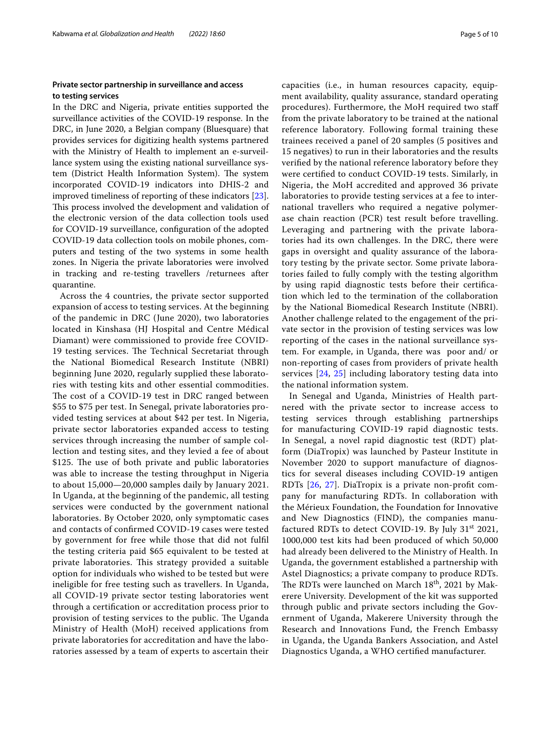# **Private sector partnership in surveillance and access to testing services**

In the DRC and Nigeria, private entities supported the surveillance activities of the COVID-19 response. In the DRC, in June 2020, a Belgian company (Bluesquare) that provides services for digitizing health systems partnered with the Ministry of Health to implement an e-surveillance system using the existing national surveillance system (District Health Information System). The system incorporated COVID-19 indicators into DHIS-2 and improved timeliness of reporting of these indicators [\[23](#page-9-19)]. This process involved the development and validation of the electronic version of the data collection tools used for COVID-19 surveillance, confguration of the adopted COVID-19 data collection tools on mobile phones, computers and testing of the two systems in some health zones. In Nigeria the private laboratories were involved in tracking and re-testing travellers /returnees after quarantine.

Across the 4 countries, the private sector supported expansion of access to testing services. At the beginning of the pandemic in DRC (June 2020), two laboratories located in Kinshasa (HJ Hospital and Centre Médical Diamant) were commissioned to provide free COVID-19 testing services. The Technical Secretariat through the National Biomedical Research Institute (NBRI) beginning June 2020, regularly supplied these laboratories with testing kits and other essential commodities. The cost of a COVID-19 test in DRC ranged between \$55 to \$75 per test. In Senegal, private laboratories provided testing services at about \$42 per test. In Nigeria, private sector laboratories expanded access to testing services through increasing the number of sample collection and testing sites, and they levied a fee of about \$125. The use of both private and public laboratories was able to increase the testing throughput in Nigeria to about 15,000—20,000 samples daily by January 2021. In Uganda, at the beginning of the pandemic, all testing services were conducted by the government national laboratories. By October 2020, only symptomatic cases and contacts of confrmed COVID-19 cases were tested by government for free while those that did not fulfl the testing criteria paid \$65 equivalent to be tested at private laboratories. This strategy provided a suitable option for individuals who wished to be tested but were ineligible for free testing such as travellers. In Uganda, all COVID-19 private sector testing laboratories went through a certifcation or accreditation process prior to provision of testing services to the public. The Uganda Ministry of Health (MoH) received applications from private laboratories for accreditation and have the laboratories assessed by a team of experts to ascertain their capacities (i.e., in human resources capacity, equipment availability, quality assurance, standard operating procedures). Furthermore, the MoH required two staf from the private laboratory to be trained at the national reference laboratory. Following formal training these trainees received a panel of 20 samples (5 positives and 15 negatives) to run in their laboratories and the results verifed by the national reference laboratory before they were certifed to conduct COVID-19 tests. Similarly, in Nigeria, the MoH accredited and approved 36 private laboratories to provide testing services at a fee to international travellers who required a negative polymerase chain reaction (PCR) test result before travelling. Leveraging and partnering with the private laboratories had its own challenges. In the DRC, there were gaps in oversight and quality assurance of the laboratory testing by the private sector. Some private laboratories failed to fully comply with the testing algorithm by using rapid diagnostic tests before their certifcation which led to the termination of the collaboration by the National Biomedical Research Institute (NBRI). Another challenge related to the engagement of the private sector in the provision of testing services was low reporting of the cases in the national surveillance system. For example, in Uganda, there was poor and/ or non-reporting of cases from providers of private health services [[24](#page-9-20), [25](#page-9-21)] including laboratory testing data into the national information system.

In Senegal and Uganda, Ministries of Health partnered with the private sector to increase access to testing services through establishing partnerships for manufacturing COVID-19 rapid diagnostic tests. In Senegal, a novel rapid diagnostic test (RDT) platform (DiaTropix) was launched by Pasteur Institute in November 2020 to support manufacture of diagnostics for several diseases including COVID-19 antigen RDTs [\[26](#page-9-22), [27\]](#page-9-23). DiaTropix is a private non-proft company for manufacturing RDTs. In collaboration with the Mérieux Foundation, the Foundation for Innovative and New Diagnostics (FIND), the companies manufactured RDTs to detect COVID-19. By July  $31<sup>st</sup> 2021$ , 1000,000 test kits had been produced of which 50,000 had already been delivered to the Ministry of Health. In Uganda, the government established a partnership with Astel Diagnostics; a private company to produce RDTs. The RDTs were launched on March 18<sup>th</sup>, 2021 by Makerere University. Development of the kit was supported through public and private sectors including the Government of Uganda, Makerere University through the Research and Innovations Fund, the French Embassy in Uganda, the Uganda Bankers Association, and Astel Diagnostics Uganda, a WHO certifed manufacturer.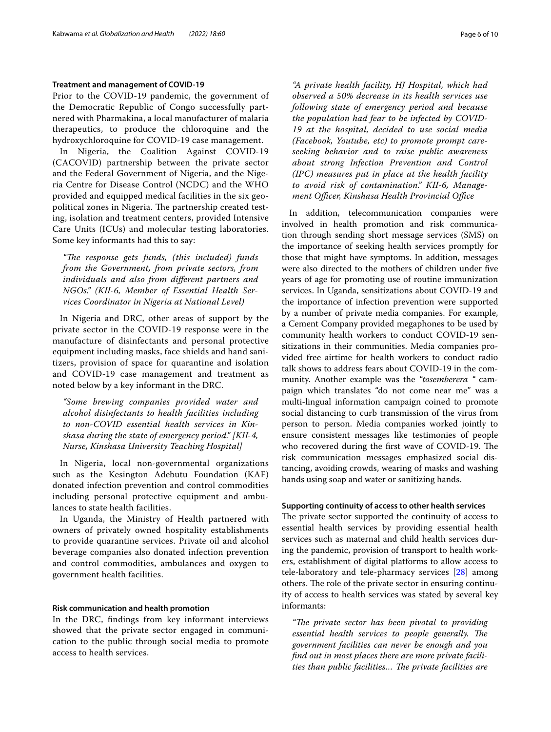#### **Treatment and management of COVID‑19**

Prior to the COVID-19 pandemic, the government of the Democratic Republic of Congo successfully partnered with Pharmakina, a local manufacturer of malaria therapeutics, to produce the chloroquine and the hydroxychloroquine for COVID-19 case management.

In Nigeria, the Coalition Against COVID-19 (CACOVID) partnership between the private sector and the Federal Government of Nigeria, and the Nigeria Centre for Disease Control (NCDC) and the WHO provided and equipped medical facilities in the six geopolitical zones in Nigeria. The partnership created testing, isolation and treatment centers, provided Intensive Care Units (ICUs) and molecular testing laboratories. Some key informants had this to say:

*"Te response gets funds, (this included) funds from the Government, from private sectors, from individuals and also from diferent partners and NGOs." (KII-6, Member of Essential Health Services Coordinator in Nigeria at National Level)*

In Nigeria and DRC, other areas of support by the private sector in the COVID-19 response were in the manufacture of disinfectants and personal protective equipment including masks, face shields and hand sanitizers, provision of space for quarantine and isolation and COVID-19 case management and treatment as noted below by a key informant in the DRC.

*"Some brewing companies provided water and alcohol disinfectants to health facilities including to non-COVID essential health services in Kinshasa during the state of emergency period." [KII-4, Nurse, Kinshasa University Teaching Hospital]*

In Nigeria, local non-governmental organizations such as the Kesington Adebutu Foundation (KAF) donated infection prevention and control commodities including personal protective equipment and ambulances to state health facilities.

In Uganda, the Ministry of Health partnered with owners of privately owned hospitality establishments to provide quarantine services. Private oil and alcohol beverage companies also donated infection prevention and control commodities, ambulances and oxygen to government health facilities.

#### **Risk communication and health promotion**

In the DRC, fndings from key informant interviews showed that the private sector engaged in communication to the public through social media to promote access to health services.

*"A private health facility, HJ Hospital, which had observed a 50% decrease in its health services use following state of emergency period and because the population had fear to be infected by COVID-19 at the hospital, decided to use social media (Facebook, Youtube, etc) to promote prompt careseeking behavior and to raise public awareness about strong Infection Prevention and Control (IPC) measures put in place at the health facility to avoid risk of contamination." KII-6, Management Officer, Kinshasa Health Provincial Office* 

In addition, telecommunication companies were involved in health promotion and risk communication through sending short message services (SMS) on the importance of seeking health services promptly for those that might have symptoms. In addition, messages were also directed to the mothers of children under fve years of age for promoting use of routine immunization services. In Uganda, sensitizations about COVID-19 and the importance of infection prevention were supported by a number of private media companies. For example, a Cement Company provided megaphones to be used by community health workers to conduct COVID-19 sensitizations in their communities. Media companies provided free airtime for health workers to conduct radio talk shows to address fears about COVID-19 in the community. Another example was the *"tosemberera "* campaign which translates "do not come near me" was a multi-lingual information campaign coined to promote social distancing to curb transmission of the virus from person to person. Media companies worked jointly to ensure consistent messages like testimonies of people who recovered during the first wave of COVID-19. The risk communication messages emphasized social distancing, avoiding crowds, wearing of masks and washing hands using soap and water or sanitizing hands.

#### **Supporting continuity of access to other health services**

The private sector supported the continuity of access to essential health services by providing essential health services such as maternal and child health services during the pandemic, provision of transport to health workers, establishment of digital platforms to allow access to tele-laboratory and tele-pharmacy services [\[28\]](#page-9-24) among others. The role of the private sector in ensuring continuity of access to health services was stated by several key informants:

"The private sector has been pivotal to providing *essential health services to people generally. The government facilities can never be enough and you fnd out in most places there are more private facilities than public facilities... The private facilities are*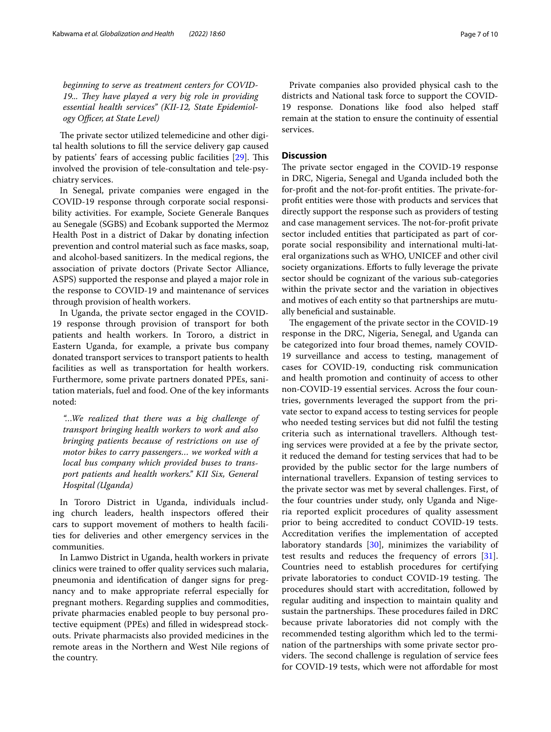*beginning to serve as treatment centers for COVID-*19... They have played a very big role in providing *essential health services" (KII-12, State Epidemiol* $ogy$  *Officer, at State Level*)

The private sector utilized telemedicine and other digital health solutions to fll the service delivery gap caused by patients' fears of accessing public facilities [\[29](#page-9-25)]. This involved the provision of tele-consultation and tele-psychiatry services.

In Senegal, private companies were engaged in the COVID-19 response through corporate social responsibility activities. For example, Societe Generale Banques au Senegale (SGBS) and Ecobank supported the Mermoz Health Post in a district of Dakar by donating infection prevention and control material such as face masks, soap, and alcohol-based sanitizers. In the medical regions, the association of private doctors (Private Sector Alliance, ASPS) supported the response and played a major role in the response to COVID-19 and maintenance of services through provision of health workers.

In Uganda, the private sector engaged in the COVID-19 response through provision of transport for both patients and health workers. In Tororo, a district in Eastern Uganda, for example, a private bus company donated transport services to transport patients to health facilities as well as transportation for health workers. Furthermore, some private partners donated PPEs, sanitation materials, fuel and food. One of the key informants noted:

*"…We realized that there was a big challenge of transport bringing health workers to work and also bringing patients because of restrictions on use of motor bikes to carry passengers… we worked with a local bus company which provided buses to transport patients and health workers." KII Six, General Hospital (Uganda)*

In Tororo District in Uganda, individuals including church leaders, health inspectors offered their cars to support movement of mothers to health facilities for deliveries and other emergency services in the communities.

In Lamwo District in Uganda, health workers in private clinics were trained to offer quality services such malaria, pneumonia and identifcation of danger signs for pregnancy and to make appropriate referral especially for pregnant mothers. Regarding supplies and commodities, private pharmacies enabled people to buy personal protective equipment (PPEs) and flled in widespread stockouts. Private pharmacists also provided medicines in the remote areas in the Northern and West Nile regions of the country.

Private companies also provided physical cash to the districts and National task force to support the COVID-19 response. Donations like food also helped staf remain at the station to ensure the continuity of essential services.

#### **Discussion**

The private sector engaged in the COVID-19 response in DRC, Nigeria, Senegal and Uganda included both the for-profit and the not-for-profit entities. The private-forproft entities were those with products and services that directly support the response such as providers of testing and case management services. The not-for-profit private sector included entities that participated as part of corporate social responsibility and international multi-lateral organizations such as WHO, UNICEF and other civil society organizations. Efforts to fully leverage the private sector should be cognizant of the various sub-categories within the private sector and the variation in objectives and motives of each entity so that partnerships are mutually beneficial and sustainable.

The engagement of the private sector in the COVID-19 response in the DRC, Nigeria, Senegal, and Uganda can be categorized into four broad themes, namely COVID-19 surveillance and access to testing, management of cases for COVID-19, conducting risk communication and health promotion and continuity of access to other non-COVID-19 essential services. Across the four countries, governments leveraged the support from the private sector to expand access to testing services for people who needed testing services but did not fulfl the testing criteria such as international travellers. Although testing services were provided at a fee by the private sector, it reduced the demand for testing services that had to be provided by the public sector for the large numbers of international travellers. Expansion of testing services to the private sector was met by several challenges. First, of the four countries under study, only Uganda and Nigeria reported explicit procedures of quality assessment prior to being accredited to conduct COVID-19 tests. Accreditation verifes the implementation of accepted laboratory standards [[30](#page-9-26)], minimizes the variability of test results and reduces the frequency of errors [\[31](#page-9-27)]. Countries need to establish procedures for certifying private laboratories to conduct COVID-19 testing. The procedures should start with accreditation, followed by regular auditing and inspection to maintain quality and sustain the partnerships. These procedures failed in DRC because private laboratories did not comply with the recommended testing algorithm which led to the termination of the partnerships with some private sector providers. The second challenge is regulation of service fees for COVID-19 tests, which were not affordable for most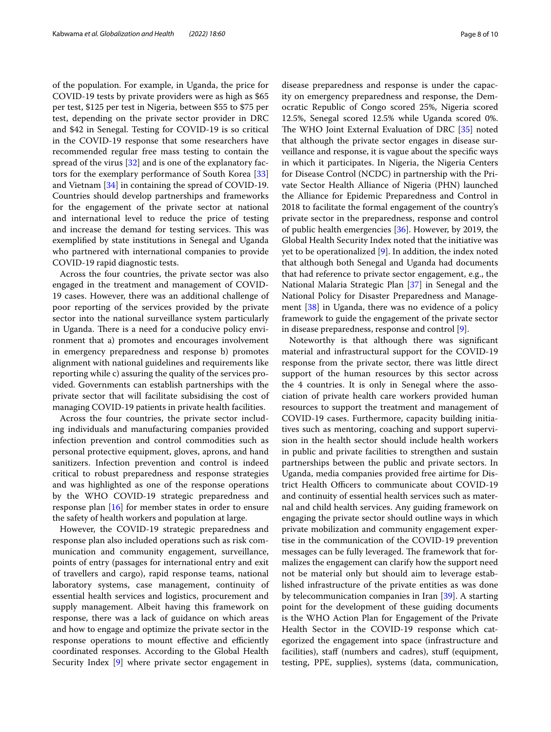of the population. For example, in Uganda, the price for COVID-19 tests by private providers were as high as \$65 per test, \$125 per test in Nigeria, between \$55 to \$75 per test, depending on the private sector provider in DRC and \$42 in Senegal. Testing for COVID-19 is so critical in the COVID-19 response that some researchers have recommended regular free mass testing to contain the spread of the virus [\[32](#page-9-28)] and is one of the explanatory factors for the exemplary performance of South Korea [[33](#page-9-29)] and Vietnam [\[34\]](#page-9-30) in containing the spread of COVID-19. Countries should develop partnerships and frameworks for the engagement of the private sector at national and international level to reduce the price of testing and increase the demand for testing services. This was exemplifed by state institutions in Senegal and Uganda who partnered with international companies to provide COVID-19 rapid diagnostic tests.

Across the four countries, the private sector was also engaged in the treatment and management of COVID-19 cases. However, there was an additional challenge of poor reporting of the services provided by the private sector into the national surveillance system particularly in Uganda. There is a need for a conducive policy environment that a) promotes and encourages involvement in emergency preparedness and response b) promotes alignment with national guidelines and requirements like reporting while c) assuring the quality of the services provided. Governments can establish partnerships with the private sector that will facilitate subsidising the cost of managing COVID-19 patients in private health facilities.

Across the four countries, the private sector including individuals and manufacturing companies provided infection prevention and control commodities such as personal protective equipment, gloves, aprons, and hand sanitizers. Infection prevention and control is indeed critical to robust preparedness and response strategies and was highlighted as one of the response operations by the WHO COVID-19 strategic preparedness and response plan [\[16](#page-9-12)] for member states in order to ensure the safety of health workers and population at large.

However, the COVID-19 strategic preparedness and response plan also included operations such as risk communication and community engagement, surveillance, points of entry (passages for international entry and exit of travellers and cargo), rapid response teams, national laboratory systems, case management, continuity of essential health services and logistics, procurement and supply management. Albeit having this framework on response, there was a lack of guidance on which areas and how to engage and optimize the private sector in the response operations to mount effective and efficiently coordinated responses. According to the Global Health Security Index [\[9](#page-9-7)] where private sector engagement in disease preparedness and response is under the capacity on emergency preparedness and response, the Democratic Republic of Congo scored 25%, Nigeria scored 12.5%, Senegal scored 12.5% while Uganda scored 0%. The WHO Joint External Evaluation of DRC [\[35](#page-9-31)] noted that although the private sector engages in disease surveillance and response, it is vague about the specifc ways in which it participates. In Nigeria, the Nigeria Centers for Disease Control (NCDC) in partnership with the Private Sector Health Alliance of Nigeria (PHN) launched the Alliance for Epidemic Preparedness and Control in 2018 to facilitate the formal engagement of the country's private sector in the preparedness, response and control of public health emergencies [[36\]](#page-9-32). However, by 2019, the Global Health Security Index noted that the initiative was yet to be operationalized [[9\]](#page-9-7). In addition, the index noted that although both Senegal and Uganda had documents that had reference to private sector engagement, e.g., the National Malaria Strategic Plan [\[37](#page-9-33)] in Senegal and the National Policy for Disaster Preparedness and Management [[38](#page-9-34)] in Uganda, there was no evidence of a policy framework to guide the engagement of the private sector in disease preparedness, response and control [[9\]](#page-9-7).

Noteworthy is that although there was signifcant material and infrastructural support for the COVID-19 response from the private sector, there was little direct support of the human resources by this sector across the 4 countries. It is only in Senegal where the association of private health care workers provided human resources to support the treatment and management of COVID-19 cases. Furthermore, capacity building initiatives such as mentoring, coaching and support supervision in the health sector should include health workers in public and private facilities to strengthen and sustain partnerships between the public and private sectors. In Uganda, media companies provided free airtime for District Health Officers to communicate about COVID-19 and continuity of essential health services such as maternal and child health services. Any guiding framework on engaging the private sector should outline ways in which private mobilization and community engagement expertise in the communication of the COVID-19 prevention messages can be fully leveraged. The framework that formalizes the engagement can clarify how the support need not be material only but should aim to leverage established infrastructure of the private entities as was done by telecommunication companies in Iran [\[39](#page-9-35)]. A starting point for the development of these guiding documents is the WHO Action Plan for Engagement of the Private Health Sector in the COVID-19 response which categorized the engagement into space (infrastructure and facilities), staff (numbers and cadres), stuff (equipment, testing, PPE, supplies), systems (data, communication,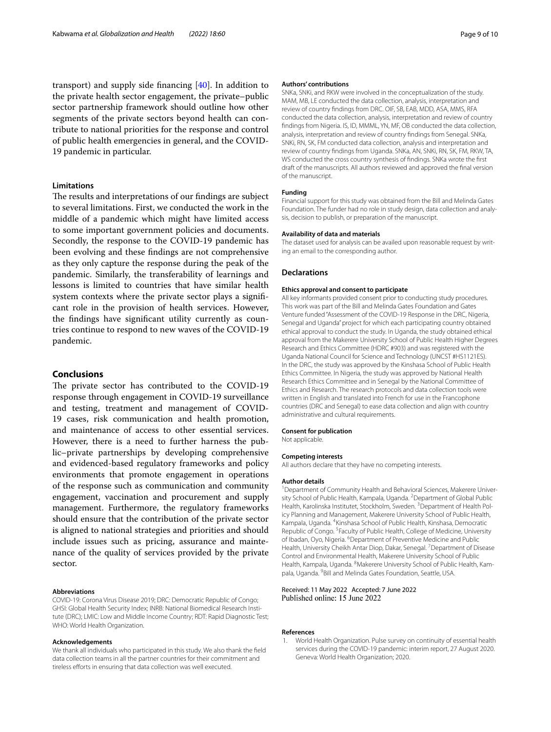transport) and supply side fnancing [\[40\]](#page-9-36). In addition to the private health sector engagement, the private–public sector partnership framework should outline how other segments of the private sectors beyond health can contribute to national priorities for the response and control of public health emergencies in general, and the COVID-19 pandemic in particular.

## **Limitations**

The results and interpretations of our findings are subject to several limitations. First, we conducted the work in the middle of a pandemic which might have limited access to some important government policies and documents. Secondly, the response to the COVID-19 pandemic has been evolving and these fndings are not comprehensive as they only capture the response during the peak of the pandemic. Similarly, the transferability of learnings and lessons is limited to countries that have similar health system contexts where the private sector plays a signifcant role in the provision of health services. However, the fndings have signifcant utility currently as countries continue to respond to new waves of the COVID-19 pandemic.

#### **Conclusions**

The private sector has contributed to the COVID-19 response through engagement in COVID-19 surveillance and testing, treatment and management of COVID-19 cases, risk communication and health promotion, and maintenance of access to other essential services. However, there is a need to further harness the public–private partnerships by developing comprehensive and evidenced-based regulatory frameworks and policy environments that promote engagement in operations of the response such as communication and community engagement, vaccination and procurement and supply management. Furthermore, the regulatory frameworks should ensure that the contribution of the private sector is aligned to national strategies and priorities and should include issues such as pricing, assurance and maintenance of the quality of services provided by the private sector.

#### **Abbreviations**

COVID-19: Corona Virus Disease 2019; DRC: Democratic Republic of Congo; GHSI: Global Health Security Index; INRB: National Biomedical Research Institute (DRC); LMIC: Low and Middle Income Country; RDT: Rapid Diagnostic Test; WHO: World Health Organization.

#### **Acknowledgements**

We thank all individuals who participated in this study. We also thank the feld data collection teams in all the partner countries for their commitment and tireless efforts in ensuring that data collection was well executed.

#### **Authors' contributions**

SNKa, SNKi, and RKW were involved in the conceptualization of the study. MAM, MB, LE conducted the data collection, analysis, interpretation and review of country fndings from DRC. OIF, SB, EAB, MDD, ASA, MMS, RFA conducted the data collection, analysis, interpretation and review of country fndings from Nigeria. IS, ID, MMML, YN, MF, OB conducted the data collection, analysis, interpretation and review of country fndings from Senegal. SNKa, SNKi, RN, SK, FM conducted data collection, analysis and interpretation and review of country fndings from Uganda. SNKa, AN, SNKi, RN, SK, FM, RKW, TA, WS conducted the cross country synthesis of fndings. SNKa wrote the frst draft of the manuscripts. All authors reviewed and approved the fnal version of the manuscript.

#### **Funding**

Financial support for this study was obtained from the Bill and Melinda Gates Foundation. The funder had no role in study design, data collection and analysis, decision to publish, or preparation of the manuscript.

#### **Availability of data and materials**

The dataset used for analysis can be availed upon reasonable request by writing an email to the corresponding author.

#### **Declarations**

#### **Ethics approval and consent to participate**

All key informants provided consent prior to conducting study procedures. This work was part of the Bill and Melinda Gates Foundation and Gates Venture funded "Assessment of the COVID-19 Response in the DRC, Nigeria, Senegal and Uganda" project for which each participating country obtained ethical approval to conduct the study. In Uganda, the study obtained ethical approval from the Makerere University School of Public Health Higher Degrees Research and Ethics Committee (HDRC #903) and was registered with the Uganda National Council for Science and Technology (UNCST #HS1121ES). In the DRC, the study was approved by the Kinshasa School of Public Health Ethics Committee. In Nigeria, the study was approved by National Health Research Ethics Committee and in Senegal by the National Committee of Ethics and Research. The research protocols and data collection tools were written in English and translated into French for use in the Francophone countries (DRC and Senegal) to ease data collection and align with country administrative and cultural requirements.

#### **Consent for publication**

Not applicable.

# **Competing interests**

All authors declare that they have no competing interests.

#### **Author details**

<sup>1</sup> Department of Community Health and Behavioral Sciences, Makerere University School of Public Health, Kampala, Uganda. <sup>2</sup> Department of Global Public Health, Karolinska Institutet, Stockholm, Sweden. <sup>3</sup> Department of Health Policy Planning and Management, Makerere University School of Public Health, Kampala, Uganda. 4 Kinshasa School of Public Health, Kinshasa, Democratic Republic of Congo.<sup>5</sup> Faculty of Public Health, College of Medicine, University of Ibadan, Oyo, Nigeria. <sup>6</sup> Department of Preventive Medicine and Public Health, University Cheikh Antar Diop, Dakar, Senegal. <sup>7</sup> Department of Disease Control and Environmental Health, Makerere University School of Public Health, Kampala, Uganda. <sup>8</sup>Makerere University School of Public Health, Kampala, Uganda. <sup>9</sup> Bill and Melinda Gates Foundation, Seattle, USA.

#### Received: 11 May 2022 Accepted: 7 June 2022 Published online: 15 June 2022

#### **References**

<span id="page-8-0"></span>1. World Health Organization. Pulse survey on continuity of essential health services during the COVID-19 pandemic: interim report, 27 August 2020. Geneva: World Health Organization; 2020.